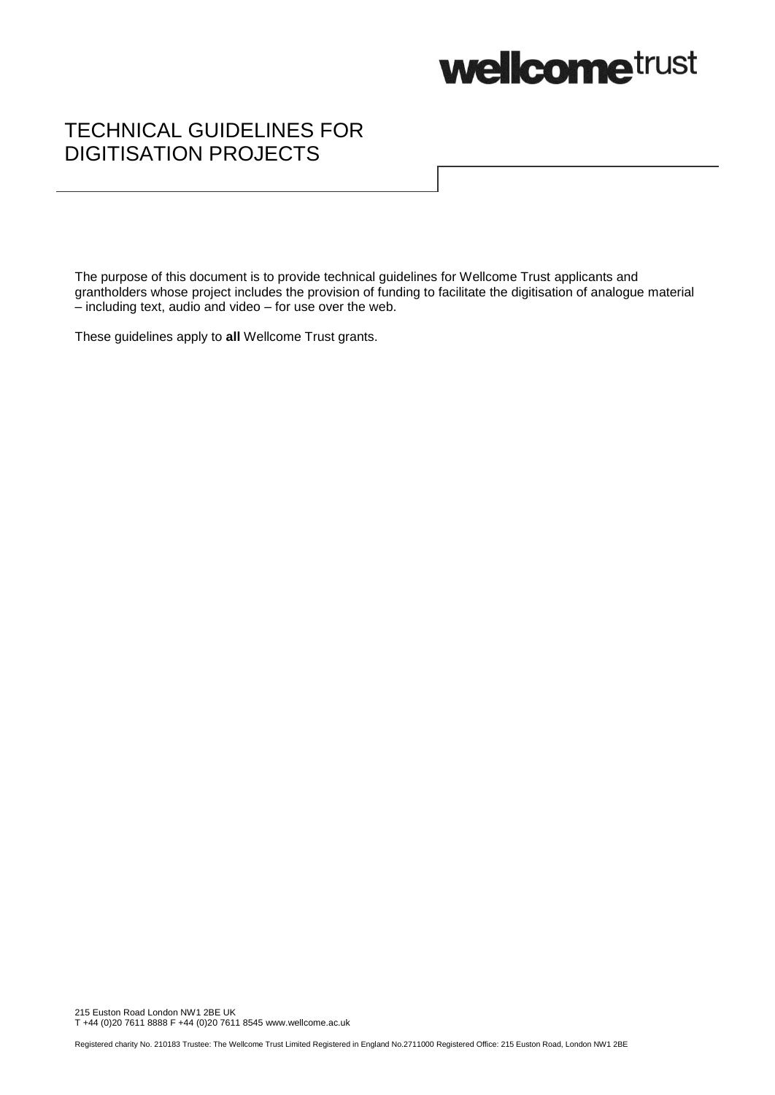

# TECHNICAL GUIDELINES FOR DIGITISATION PROJECTS

The purpose of this document is to provide technical guidelines for Wellcome Trust applicants and grantholders whose project includes the provision of funding to facilitate the digitisation of analogue material  $-$  including text, audio and video  $-$  for use over the web.

These guidelines apply to **all** Wellcome Trust grants.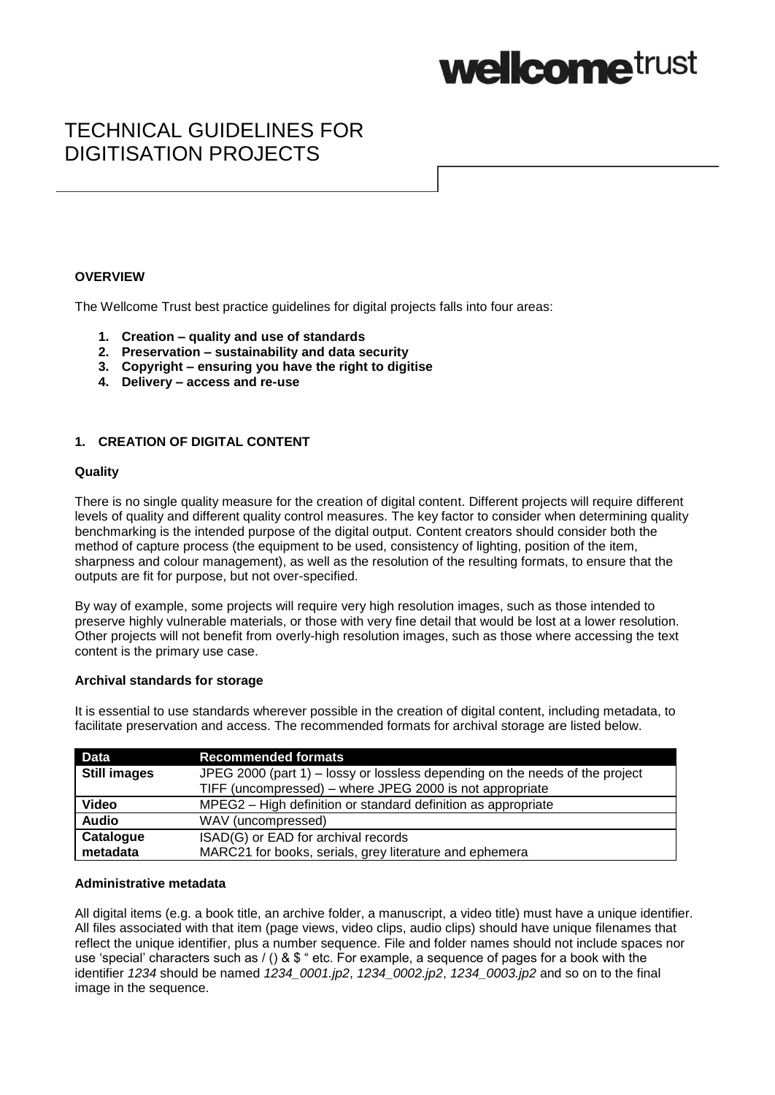

# TECHNICAL GUIDELINES FOR DIGITISATION PROJECTS

## **OVERVIEW**

The Wellcome Trust best practice guidelines for digital projects falls into four areas:

- **1. Creation – quality and use of standards**
- **2. Preservation – sustainability and data security**
- **3. Copyright – ensuring you have the right to digitise**
- **4. Delivery – access and re-use**

## **1. CREATION OF DIGITAL CONTENT**

#### **Quality**

There is no single quality measure for the creation of digital content. Different projects will require different levels of quality and different quality control measures. The key factor to consider when determining quality benchmarking is the intended purpose of the digital output. Content creators should consider both the method of capture process (the equipment to be used, consistency of lighting, position of the item, sharpness and colour management), as well as the resolution of the resulting formats, to ensure that the outputs are fit for purpose, but not over-specified.

By way of example, some projects will require very high resolution images, such as those intended to preserve highly vulnerable materials, or those with very fine detail that would be lost at a lower resolution. Other projects will not benefit from overly-high resolution images, such as those where accessing the text content is the primary use case.

### **Archival standards for storage**

It is essential to use standards wherever possible in the creation of digital content, including metadata, to facilitate preservation and access. The recommended formats for archival storage are listed below.

| <b>Data</b>         | <b>Recommended formats</b>                                                   |
|---------------------|------------------------------------------------------------------------------|
| <b>Still images</b> | JPEG 2000 (part 1) – lossy or lossless depending on the needs of the project |
|                     | TIFF (uncompressed) - where JPEG 2000 is not appropriate                     |
| <b>Video</b>        | MPEG2 - High definition or standard definition as appropriate                |
| <b>Audio</b>        | WAV (uncompressed)                                                           |
| Catalogue           | ISAD(G) or EAD for archival records                                          |
| metadata            | MARC21 for books, serials, grey literature and ephemera                      |

#### **Administrative metadata**

All digital items (e.g. a book title, an archive folder, a manuscript, a video title) must have a unique identifier. All files associated with that item (page views, video clips, audio clips) should have unique filenames that reflect the unique identifier, plus a number sequence. File and folder names should not include spaces nor use 'special' characters such as / () & \$ " etc. For example, a sequence of pages for a book with the identifier *1234* should be named *1234\_0001.jp2*, *1234\_0002.jp2*, *1234\_0003.jp2* and so on to the final image in the sequence.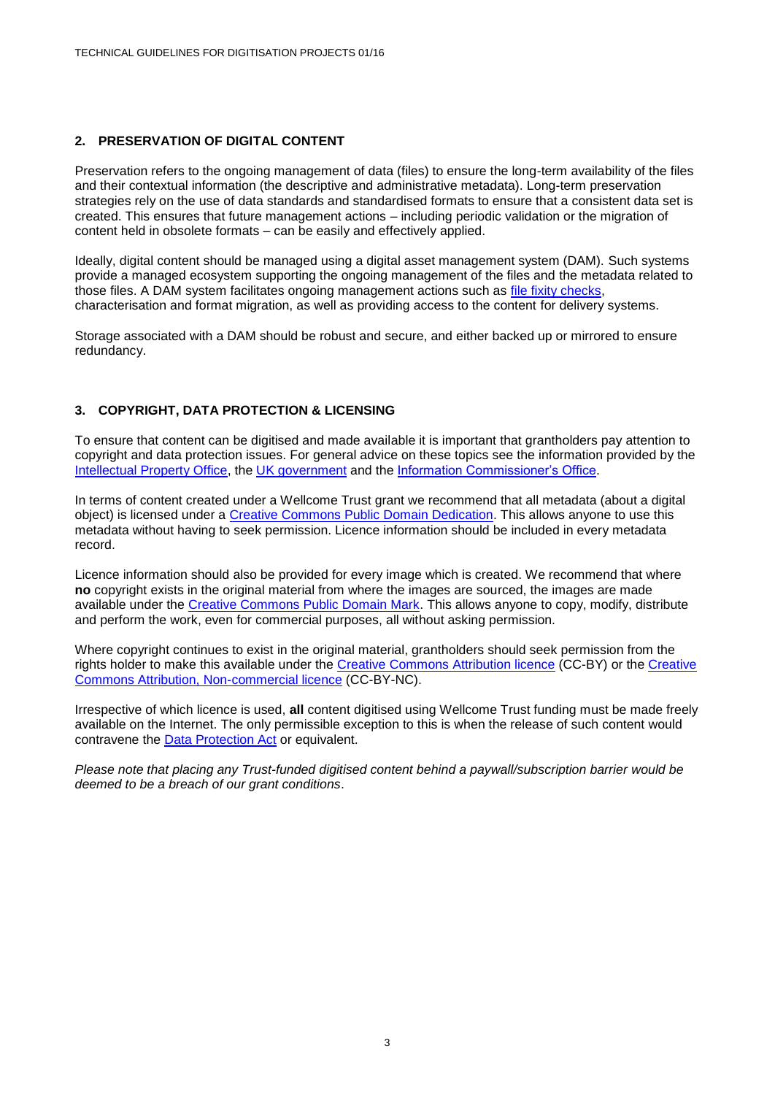# **2. PRESERVATION OF DIGITAL CONTENT**

Preservation refers to the ongoing management of data (files) to ensure the long-term availability of the files and their contextual information (the descriptive and administrative metadata). Long-term preservation strategies rely on the use of data standards and standardised formats to ensure that a consistent data set is created. This ensures that future management actions – including periodic validation or the migration of content held in obsolete formats – can be easily and effectively applied.

Ideally, digital content should be managed using a digital asset management system (DAM). Such systems provide a managed ecosystem supporting the ongoing management of the files and the metadata related to those files. A DAM system facilitates ongoing management actions such as [file fixity checks,](https://en.wikipedia.org/wiki/File_Fixity) characterisation and format migration, as well as providing access to the content for delivery systems.

Storage associated with a DAM should be robust and secure, and either backed up or mirrored to ensure redundancy.

# **3. COPYRIGHT, DATA PROTECTION & LICENSING**

To ensure that content can be digitised and made available it is important that grantholders pay attention to copyright and data protection issues. For general advice on these topics see the information provided by the [Intellectual Property Office,](https://www.gov.uk/topic/intellectual-property/copyright) the [UK government](https://www.gov.uk/data-protection/the-data-protection-act) and the [Information Commissioner's Office.](https://ico.org.uk/for-organisations/guide-to-data-protection/)

In terms of content created under a Wellcome Trust grant we recommend that all metadata (about a digital object) is licensed under a [Creative Commons Public Domain Dedication.](https://creativecommons.org/publicdomain/zero/1.0/) This allows anyone to use this metadata without having to seek permission. Licence information should be included in every metadata record.

Licence information should also be provided for every image which is created. We recommend that where **no** copyright exists in the original material from where the images are sourced, the images are made available under the [Creative Commons Public Domain Mark.](https://creativecommons.org/publicdomain/mark/1.0/) This allows anyone to copy, modify, distribute and perform the work, even for commercial purposes, all without asking permission.

Where copyright continues to exist in the original material, grantholders should seek permission from the rights holder to make this available under the [Creative Commons Attribution licence](https://creativecommons.org/licenses/by/4.0/) (CC-BY) or the [Creative](https://creativecommons.org/licenses/by-nc/4.0/)  [Commons Attribution, Non-commercial licence](https://creativecommons.org/licenses/by-nc/4.0/) (CC-BY-NC).

Irrespective of which licence is used, **all** content digitised using Wellcome Trust funding must be made freely available on the Internet. The only permissible exception to this is when the release of such content would contravene the [Data Protection Act](https://www.gov.uk/data-protection/the-data-protection-act) or equivalent.

*Please note that placing any Trust-funded digitised content behind a paywall/subscription barrier would be deemed to be a breach of our grant conditions*.